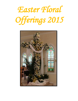## *Easter Floral Offerings 2015*

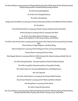Ms. Karen Bailey in memory of Irene & Wayne Boldrey, Dot & Ron Welsh, Bessie & Paul Bailey, Deceased Bailey family members, Deceased Boldrey family members

Mr. & Mrs. Kenneth Bergbower

Mr. & Mrs. Don & Mary Biernbaum

Mr. & Mrs. John Birkofer

George and Jane Bohman in memory of Living and Deceased members of the Bohman & Stein families

Mr. Don Brown

Patti & Keith Buercklin in memory of Charles Adams and Bonnie & Ken Buercklin

Patricia Dunlap in memory of Max E. Dunlap & Jean Reid

Mr. & Mrs. Jim & Shari Eckert & Family in memory of Emma, Scott Knoblett, Fr. Bill, Florence Huss, and Ed Halter

Mr. & Mrs. Steve & Geri Ezell in memory of Gust & Lorena Ochs, Thelma Farlow, Leonard Ezell, Jennifer Rich, Florence Huss, Carolyn Chapman, and Harry Wong

John & Jody Ferris in memory of Don & Margaret Ferris and Leonard & Mary Sager

Thomas Huss in memory of Florence Huss

Miss Maymie Ikemire in memory of Harlin E. Hill & family, Wm. Ikemire family, and Basil, Ellen & Frances

Mr. & Mrs. Henry Fred Kirts – Deceased members of Kirts & Jenkins Families

Mr. & Mrs. Larry Kirts-Deceased members of Larry Kirts Family

Mrs. Maxine Koontz in memory of Bobby Koontz and Phillip Koontz

Mrs. Ione Lopiccolo

Mr. & Mrs. Keith Matson in memory of the Matson & Hall Families

Ron & Janet Mitchell in memory of Dot Welsh and Milton Mitchell

Mrs. Betty Moore in memory of John Moore

Mr. & Mrs. James & Maria Morris

Mrs. June Mullins in memory of Earl Mullins & Family, Ben & Dortha Worthey, Harvey & Ethel Mullins, Betty Deckard & Mullins Family, John, Everett, Danny, Louisa, and Maxine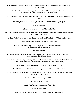Mr. & Mrs.Richard & Beverly Mullins in memory of Barbara, Jack, & Patrick Kraemer, Jean Loy, and Martha Hughes

Fr. Aloy Ndeaneafo- for the Happy Repose of Michael Ndebueze, Patrick & Basilia, Uju, Thomson & Cletus Ndeanaefo. Requiescat in Pacem.

Fr. Aloy Ndeaneafo-for all deceased parishioners of St. Elizabeth & Our Lady of Lourdes. Requiescat in Pacem.

Mrs. Becky Nightingale in memory of Richard J. Roth and David J. Nightingale

Mrs. Jean Parkes

Mrs. Donna Parkhurst in memory of Charles Parkhurst

Mr. & Mrs. Valentine Pescatore in memory of Helen & Roger Fabris, Loretta Pescatore, Marie DiLeonardo, and Augustine Pescatore

Mrs. Joan Rasico in memory of Robert Rasico, Ashley Clark, Mary Goff, Gerald Goff, and Don Clark

Mrs. Ellen Rees in memory of Don Rees and Missy Rees

Mr. & Mrs. Charles Reinoehl in memory of Marge & Max Henry, Ann & Joe Rei, and Margaret & Elmer Zimmerle

Mr. & Mrs. Ed Reis

Mr. & Mrs. Terry Roche in memory of Howard & Rita Rio, Wilsie & Darek Roche, Lacey Woolverton, Kevin Murray, and Dr. Michael Elliott

Mr. & Mrs. Walter Schalasky in memory of Wilma & Elmo Stevenson, Sam Stevenson, Bruce Gardner, Fr. Bill Overmann, Oscar & Shirley Kraus, and George & Margaret Schalasky

Mr. & Mrs. Clarence & Arlene Schutte in memory of Lacey Woolverton

Mr. & Mrs.Ted and Kathy Staller in memory of Erma Veldhau and Helen Fuller

Mr. & Mrs. Jack Stanley in memory of Charles Orville Stanley, Hattie Murphy, Maggie & Doug Fields, and Paige Leanna Stevens

Mrs. Rhonda Stone in memory of Pat Stone

Mr. & Mrs. Matthew Taylor

Sunny & Chad Veenstra in memory of Joseph Kim

Mr. & Mrs. Chris Weber

Mr. & Mrs. Frank & Wanda Weber in memory of Deceased family members